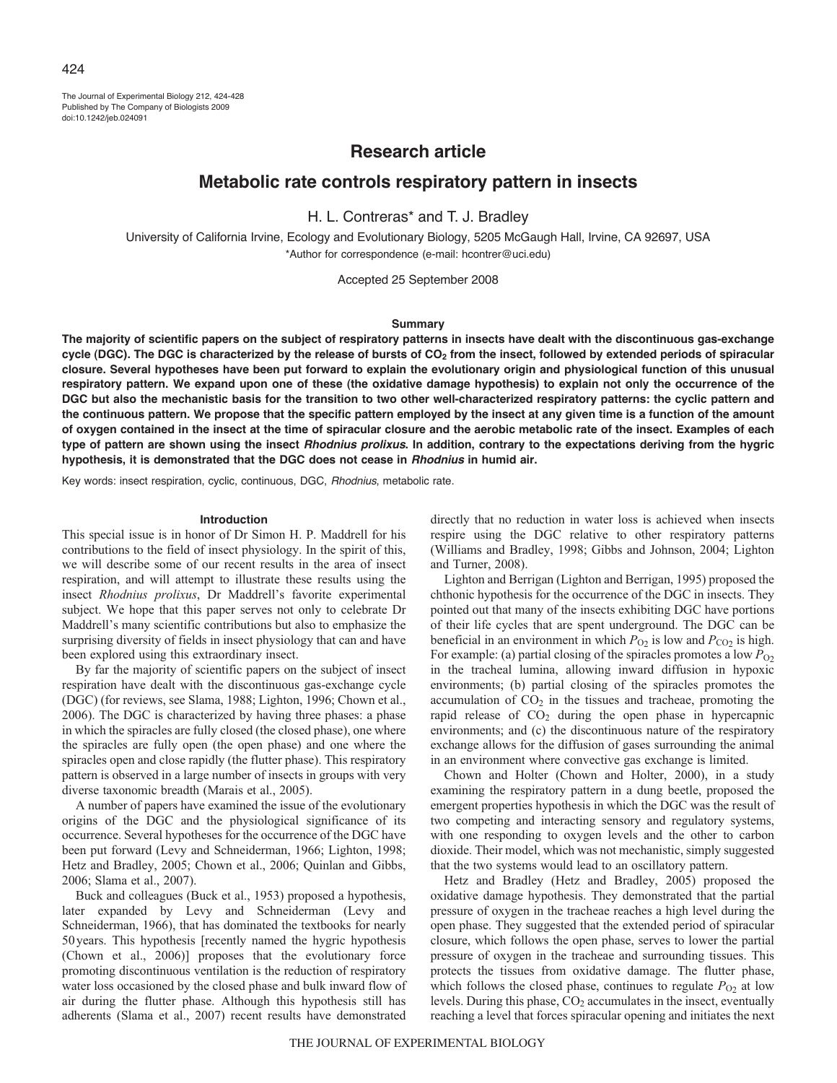The Journal of Experimental Biology 212, 424-428 Published by The Company of Biologists 2009 doi:10.1242/jeb.024091

# **Research article**

# **Metabolic rate controls respiratory pattern in insects**

H. L. Contreras\* and T. J. Bradley

University of California Irvine, Ecology and Evolutionary Biology, 5205 McGaugh Hall, Irvine, CA 92697, USA \*Author for correspondence (e-mail: hcontrer@uci.edu)

Accepted 25 September 2008

# **Summary**

**The majority of scientific papers on the subject of respiratory patterns in insects have dealt with the discontinuous gas-exchange** cycle (DGC). The DGC is characterized by the release of bursts of CO<sub>2</sub> from the insect, followed by extended periods of spiracular **closure. Several hypotheses have been put forward to explain the evolutionary origin and physiological function of this unusual respiratory pattern. We expand upon one of these (the oxidative damage hypothesis) to explain not only the occurrence of the DGC but also the mechanistic basis for the transition to two other well-characterized respiratory patterns: the cyclic pattern and the continuous pattern. We propose that the specific pattern employed by the insect at any given time is a function of the amount of oxygen contained in the insect at the time of spiracular closure and the aerobic metabolic rate of the insect. Examples of each type of pattern are shown using the insect** *Rhodnius prolixus***. In addition, contrary to the expectations deriving from the hygric hypothesis, it is demonstrated that the DGC does not cease in** *Rhodnius* **in humid air.**

Key words: insect respiration, cyclic, continuous, DGC, Rhodnius, metabolic rate.

### **Introduction**

This special issue is in honor of Dr Simon H. P. Maddrell for his contributions to the field of insect physiology. In the spirit of this, we will describe some of our recent results in the area of insect respiration, and will attempt to illustrate these results using the insect *Rhodnius prolixus*, Dr Maddrell's favorite experimental subject. We hope that this paper serves not only to celebrate Dr Maddrell's many scientific contributions but also to emphasize the surprising diversity of fields in insect physiology that can and have been explored using this extraordinary insect.

By far the majority of scientific papers on the subject of insect respiration have dealt with the discontinuous gas-exchange cycle (DGC) (for reviews, see Slama, 1988; Lighton, 1996; Chown et al., 2006). The DGC is characterized by having three phases: a phase in which the spiracles are fully closed (the closed phase), one where the spiracles are fully open (the open phase) and one where the spiracles open and close rapidly (the flutter phase). This respiratory pattern is observed in a large number of insects in groups with very diverse taxonomic breadth (Marais et al., 2005).

A number of papers have examined the issue of the evolutionary origins of the DGC and the physiological significance of its occurrence. Several hypotheses for the occurrence of the DGC have been put forward (Levy and Schneiderman, 1966; Lighton, 1998; Hetz and Bradley, 2005; Chown et al., 2006; Quinlan and Gibbs, 2006; Slama et al., 2007).

Buck and colleagues (Buck et al., 1953) proposed a hypothesis, later expanded by Levy and Schneiderman (Levy and Schneiderman, 1966), that has dominated the textbooks for nearly 50years. This hypothesis [recently named the hygric hypothesis (Chown et al., 2006)] proposes that the evolutionary force promoting discontinuous ventilation is the reduction of respiratory water loss occasioned by the closed phase and bulk inward flow of air during the flutter phase. Although this hypothesis still has adherents (Slama et al., 2007) recent results have demonstrated

directly that no reduction in water loss is achieved when insects respire using the DGC relative to other respiratory patterns (Williams and Bradley, 1998; Gibbs and Johnson, 2004; Lighton and Turner, 2008).

Lighton and Berrigan (Lighton and Berrigan, 1995) proposed the chthonic hypothesis for the occurrence of the DGC in insects. They pointed out that many of the insects exhibiting DGC have portions of their life cycles that are spent underground. The DGC can be beneficial in an environment in which  $P_{O2}$  is low and  $P_{CO2}$  is high. For example: (a) partial closing of the spiracles promotes a low  $P_{O2}$ in the tracheal lumina, allowing inward diffusion in hypoxic environments; (b) partial closing of the spiracles promotes the accumulation of  $CO<sub>2</sub>$  in the tissues and tracheae, promoting the rapid release of  $CO<sub>2</sub>$  during the open phase in hypercapnic environments; and (c) the discontinuous nature of the respiratory exchange allows for the diffusion of gases surrounding the animal in an environment where convective gas exchange is limited.

Chown and Holter (Chown and Holter, 2000), in a study examining the respiratory pattern in a dung beetle, proposed the emergent properties hypothesis in which the DGC was the result of two competing and interacting sensory and regulatory systems, with one responding to oxygen levels and the other to carbon dioxide. Their model, which was not mechanistic, simply suggested that the two systems would lead to an oscillatory pattern.

Hetz and Bradley (Hetz and Bradley, 2005) proposed the oxidative damage hypothesis. They demonstrated that the partial pressure of oxygen in the tracheae reaches a high level during the open phase. They suggested that the extended period of spiracular closure, which follows the open phase, serves to lower the partial pressure of oxygen in the tracheae and surrounding tissues. This protects the tissues from oxidative damage. The flutter phase, which follows the closed phase, continues to regulate  $P_{O_2}$  at low levels. During this phase,  $CO<sub>2</sub>$  accumulates in the insect, eventually reaching a level that forces spiracular opening and initiates the next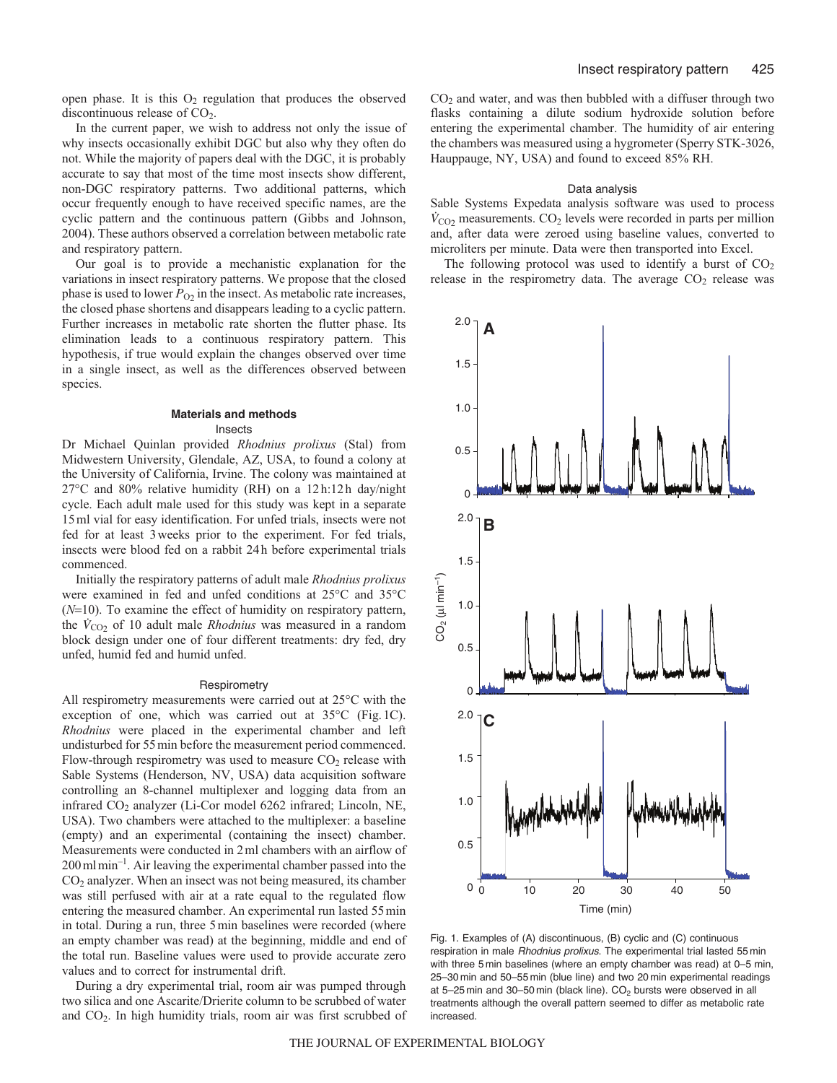open phase. It is this  $O_2$  regulation that produces the observed discontinuous release of CO<sub>2</sub>.

In the current paper, we wish to address not only the issue of why insects occasionally exhibit DGC but also why they often do not. While the majority of papers deal with the DGC, it is probably accurate to say that most of the time most insects show different, non-DGC respiratory patterns. Two additional patterns, which occur frequently enough to have received specific names, are the cyclic pattern and the continuous pattern (Gibbs and Johnson, 2004). These authors observed a correlation between metabolic rate and respiratory pattern.

Our goal is to provide a mechanistic explanation for the variations in insect respiratory patterns. We propose that the closed phase is used to lower  $P_{\text{O}_2}$  in the insect. As metabolic rate increases, the closed phase shortens and disappears leading to a cyclic pattern. Further increases in metabolic rate shorten the flutter phase. Its elimination leads to a continuous respiratory pattern. This hypothesis, if true would explain the changes observed over time in a single insect, as well as the differences observed between species.

# **Materials and methods**

# Insects

Dr Michael Quinlan provided *Rhodnius prolixus* (Stal) from Midwestern University, Glendale, AZ, USA, to found a colony at the University of California, Irvine. The colony was maintained at 27°C and 80% relative humidity (RH) on a 12h:12h day/night cycle. Each adult male used for this study was kept in a separate 15ml vial for easy identification. For unfed trials, insects were not fed for at least 3weeks prior to the experiment. For fed trials, insects were blood fed on a rabbit 24h before experimental trials commenced.

Initially the respiratory patterns of adult male *Rhodnius prolixus* were examined in fed and unfed conditions at 25°C and 35°C (*N*=10). To examine the effect of humidity on respiratory pattern, the  $\dot{V}_{\text{CO}_2}$  of 10 adult male *Rhodnius* was measured in a random block design under one of four different treatments: dry fed, dry unfed, humid fed and humid unfed.

# **Respirometry**

All respirometry measurements were carried out at 25°C with the exception of one, which was carried out at 35°C (Fig.1C). *Rhodnius* were placed in the experimental chamber and left undisturbed for 55min before the measurement period commenced. Flow-through respirometry was used to measure  $CO<sub>2</sub>$  release with Sable Systems (Henderson, NV, USA) data acquisition software controlling an 8-channel multiplexer and logging data from an infrared CO<sub>2</sub> analyzer (Li-Cor model 6262 infrared; Lincoln, NE, USA). Two chambers were attached to the multiplexer: a baseline (empty) and an experimental (containing the insect) chamber. Measurements were conducted in 2ml chambers with an airflow of 200mlmin–1. Air leaving the experimental chamber passed into the  $CO<sub>2</sub>$  analyzer. When an insect was not being measured, its chamber was still perfused with air at a rate equal to the regulated flow entering the measured chamber. An experimental run lasted 55min in total. During a run, three 5min baselines were recorded (where an empty chamber was read) at the beginning, middle and end of the total run. Baseline values were used to provide accurate zero values and to correct for instrumental drift.

During a dry experimental trial, room air was pumped through two silica and one Ascarite/Drierite column to be scrubbed of water and CO2. In high humidity trials, room air was first scrubbed of  $CO<sub>2</sub>$  and water, and was then bubbled with a diffuser through two flasks containing a dilute sodium hydroxide solution before entering the experimental chamber. The humidity of air entering the chambers was measured using a hygrometer (Sperry STK-3026, Hauppauge, NY, USA) and found to exceed 85% RH.

# Data analysis

Sable Systems Expedata analysis software was used to process  $\dot{V}_{\text{CO}_2}$  measurements.  $\text{CO}_2$  levels were recorded in parts per million and, after data were zeroed using baseline values, converted to microliters per minute. Data were then transported into Excel.

The following protocol was used to identify a burst of  $CO<sub>2</sub>$ release in the respirometry data. The average  $CO<sub>2</sub>$  release was



Fig. 1. Examples of (A) discontinuous, (B) cyclic and (C) continuous respiration in male Rhodnius prolixus. The experimental trial lasted 55 min with three 5 min baselines (where an empty chamber was read) at 0–5 min, 25–30 min and 50–55 min (blue line) and two 20 min experimental readings at 5–25 min and 30–50 min (black line).  $CO<sub>2</sub>$  bursts were observed in all treatments although the overall pattern seemed to differ as metabolic rate increased.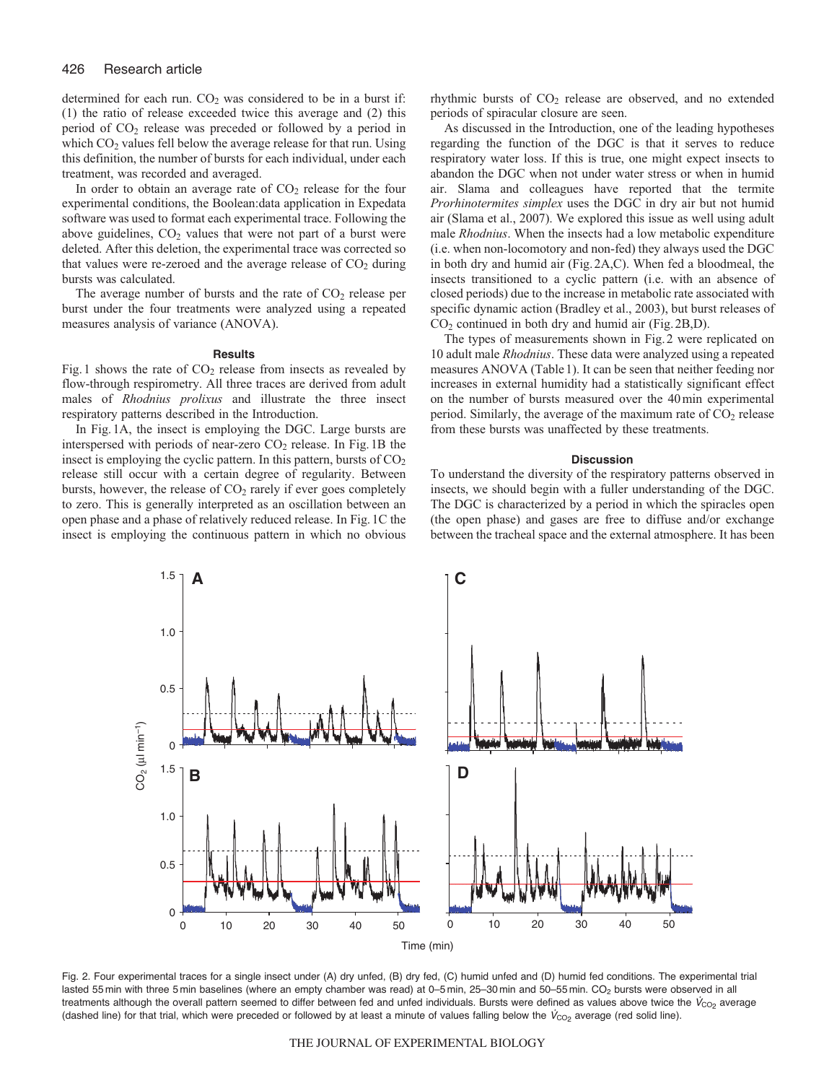#### 426 Research article

determined for each run.  $CO<sub>2</sub>$  was considered to be in a burst if: (1) the ratio of release exceeded twice this average and (2) this period of CO2 release was preceded or followed by a period in which  $CO<sub>2</sub>$  values fell below the average release for that run. Using this definition, the number of bursts for each individual, under each treatment, was recorded and averaged.

In order to obtain an average rate of  $CO<sub>2</sub>$  release for the four experimental conditions, the Boolean:data application in Expedata software was used to format each experimental trace. Following the above guidelines,  $CO<sub>2</sub>$  values that were not part of a burst were deleted. After this deletion, the experimental trace was corrected so that values were re-zeroed and the average release of  $CO<sub>2</sub>$  during bursts was calculated.

The average number of bursts and the rate of  $CO<sub>2</sub>$  release per burst under the four treatments were analyzed using a repeated measures analysis of variance (ANOVA).

### **Results**

Fig.1 shows the rate of  $CO<sub>2</sub>$  release from insects as revealed by flow-through respirometry. All three traces are derived from adult males of *Rhodnius prolixus* and illustrate the three insect respiratory patterns described in the Introduction.

In Fig.1A, the insect is employing the DGC. Large bursts are interspersed with periods of near-zero  $CO<sub>2</sub>$  release. In Fig.1B the insect is employing the cyclic pattern. In this pattern, bursts of  $CO<sub>2</sub>$ release still occur with a certain degree of regularity. Between bursts, however, the release of  $CO<sub>2</sub>$  rarely if ever goes completely to zero. This is generally interpreted as an oscillation between an open phase and a phase of relatively reduced release. In Fig.1C the insect is employing the continuous pattern in which no obvious rhythmic bursts of CO<sub>2</sub> release are observed, and no extended periods of spiracular closure are seen.

As discussed in the Introduction, one of the leading hypotheses regarding the function of the DGC is that it serves to reduce respiratory water loss. If this is true, one might expect insects to abandon the DGC when not under water stress or when in humid air. Slama and colleagues have reported that the termite *Prorhinotermites simplex* uses the DGC in dry air but not humid air (Slama et al., 2007). We explored this issue as well using adult male *Rhodnius*. When the insects had a low metabolic expenditure (i.e. when non-locomotory and non-fed) they always used the DGC in both dry and humid air (Fig.2A,C). When fed a bloodmeal, the insects transitioned to a cyclic pattern (i.e. with an absence of closed periods) due to the increase in metabolic rate associated with specific dynamic action (Bradley et al., 2003), but burst releases of  $CO<sub>2</sub>$  continued in both dry and humid air (Fig. 2B,D).

The types of measurements shown in Fig.2 were replicated on 10 adult male *Rhodnius*. These data were analyzed using a repeated measures ANOVA (Table1). It can be seen that neither feeding nor increases in external humidity had a statistically significant effect on the number of bursts measured over the 40min experimental period. Similarly, the average of the maximum rate of  $CO<sub>2</sub>$  release from these bursts was unaffected by these treatments.

# **Discussion**

To understand the diversity of the respiratory patterns observed in insects, we should begin with a fuller understanding of the DGC. The DGC is characterized by a period in which the spiracles open (the open phase) and gases are free to diffuse and/or exchange between the tracheal space and the external atmosphere. It has been



Fig. 2. Four experimental traces for a single insect under (A) dry unfed, (B) dry fed, (C) humid unfed and (D) humid fed conditions. The experimental trial lasted 55 min with three 5 min baselines (where an empty chamber was read) at 0–5 min, 25–30 min and 50–55 min. CO<sub>2</sub> bursts were observed in all treatments although the overall pattern seemed to differ between fed and unfed individuals. Bursts were defined as values above twice the  $V_{CO}$  average (dashed line) for that trial, which were preceded or followed by at least a minute of values falling below the  $V_{CO2}$  average (red solid line).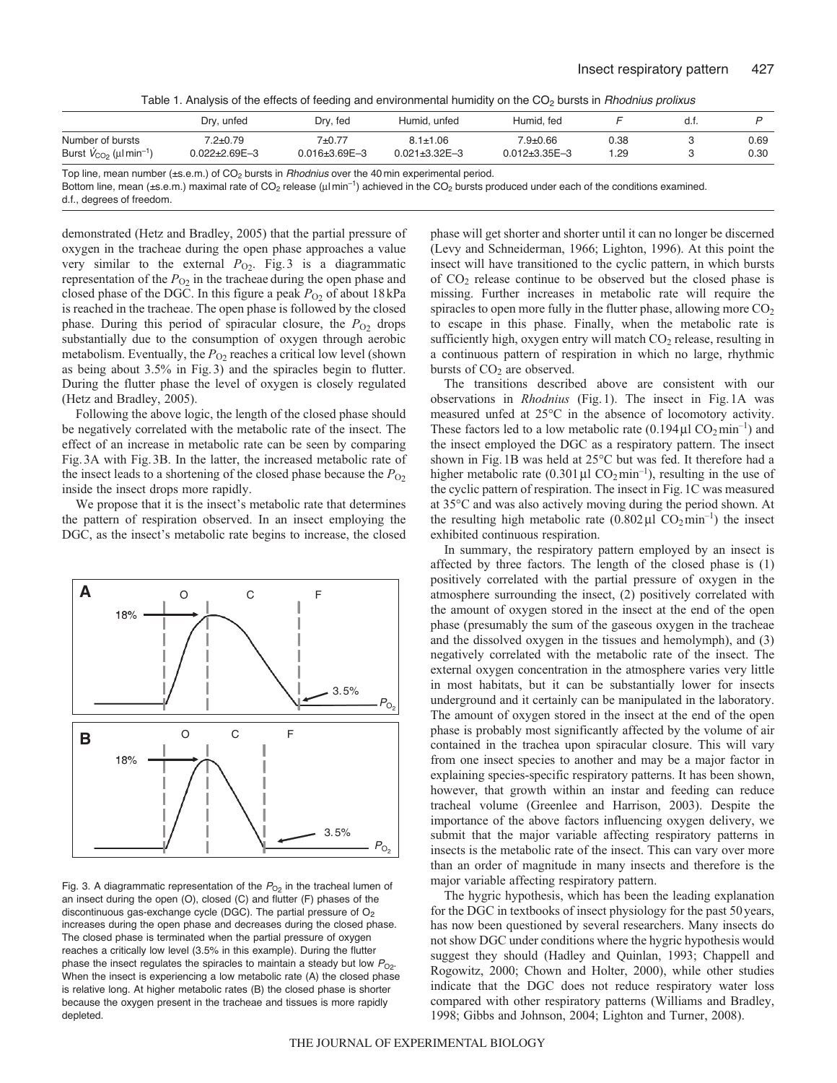Table 1. Analysis of the effects of feeding and environmental humidity on the CO<sub>2</sub> bursts in *Rhodnius prolixus* 

|                                         | Dry, unfed            | Dry, fed              | Humid, unfed        | Humid, fed          |      | d.t. |      |
|-----------------------------------------|-----------------------|-----------------------|---------------------|---------------------|------|------|------|
| Number of bursts                        | 7.2±0.79              | 7±0.77                | $8.1 + 1.06$        | $7.9 \pm 0.66$      | 0.38 |      | 0.69 |
| Burst $V_{CO2}$ (µl min <sup>-1</sup> ) | $0.022 \pm 2.69E - 3$ | $0.016 \pm 3.69E - 3$ | $0.021 + 3.32E - 3$ | $0.012 + 3.35E - 3$ | .29  |      | 0.30 |

Top line, mean number  $(\pm s.e.m.)$  of  $CO<sub>2</sub>$  bursts in *Rhodnius* over the 40 min experimental period.

Bottom line, mean (±s.e.m.) maximal rate of CO<sub>2</sub> release ( $\mu$ l min<sup>-1</sup>) achieved in the CO<sub>2</sub> bursts produced under each of the conditions examined.

d.f., degrees of freedom.

demonstrated (Hetz and Bradley, 2005) that the partial pressure of oxygen in the tracheae during the open phase approaches a value very similar to the external  $P_{O_2}$ . Fig. 3 is a diagrammatic representation of the  $P_{O2}$  in the tracheae during the open phase and closed phase of the DGC. In this figure a peak  $P_{O2}$  of about 18 kPa is reached in the tracheae. The open phase is followed by the closed phase. During this period of spiracular closure, the  $P_{\text{O}2}$  drops substantially due to the consumption of oxygen through aerobic metabolism. Eventually, the  $P_{O2}$  reaches a critical low level (shown as being about 3.5% in Fig.3) and the spiracles begin to flutter. During the flutter phase the level of oxygen is closely regulated (Hetz and Bradley, 2005).

Following the above logic, the length of the closed phase should be negatively correlated with the metabolic rate of the insect. The effect of an increase in metabolic rate can be seen by comparing Fig.3A with Fig.3B. In the latter, the increased metabolic rate of the insect leads to a shortening of the closed phase because the  $P_{O2}$ inside the insect drops more rapidly.

We propose that it is the insect's metabolic rate that determines the pattern of respiration observed. In an insect employing the DGC, as the insect's metabolic rate begins to increase, the closed



Fig. 3. A diagrammatic representation of the  $P_{O2}$  in the tracheal lumen of an insect during the open (O), closed (C) and flutter (F) phases of the discontinuous gas-exchange cycle (DGC). The partial pressure of  $O<sub>2</sub>$ increases during the open phase and decreases during the closed phase. The closed phase is terminated when the partial pressure of oxygen reaches a critically low level (3.5% in this example). During the flutter phase the insect regulates the spiracles to maintain a steady but low  $P_{\text{O2}}$ . When the insect is experiencing a low metabolic rate (A) the closed phase is relative long. At higher metabolic rates (B) the closed phase is shorter because the oxygen present in the tracheae and tissues is more rapidly depleted.

phase will get shorter and shorter until it can no longer be discerned (Levy and Schneiderman, 1966; Lighton, 1996). At this point the insect will have transitioned to the cyclic pattern, in which bursts of  $CO<sub>2</sub>$  release continue to be observed but the closed phase is missing. Further increases in metabolic rate will require the spiracles to open more fully in the flutter phase, allowing more  $CO<sub>2</sub>$ to escape in this phase. Finally, when the metabolic rate is sufficiently high, oxygen entry will match  $CO<sub>2</sub>$  release, resulting in a continuous pattern of respiration in which no large, rhythmic bursts of  $CO<sub>2</sub>$  are observed.

The transitions described above are consistent with our observations in *Rhodnius* (Fig.1). The insect in Fig.1A was measured unfed at 25°C in the absence of locomotory activity. These factors led to a low metabolic rate  $(0.194 \mu I \, \text{CO}_2 \,\text{min}^{-1})$  and the insect employed the DGC as a respiratory pattern. The insect shown in Fig.1B was held at 25°C but was fed. It therefore had a higher metabolic rate  $(0.301 \,\mu$ I CO<sub>2</sub>min<sup>-1</sup>), resulting in the use of the cyclic pattern of respiration. The insect in Fig.1C was measured at 35°C and was also actively moving during the period shown. At the resulting high metabolic rate  $(0.802 \mu I \text{ CO}_2 \text{min}^{-1})$  the insect exhibited continuous respiration.

In summary, the respiratory pattern employed by an insect is affected by three factors. The length of the closed phase is (1) positively correlated with the partial pressure of oxygen in the atmosphere surrounding the insect, (2) positively correlated with the amount of oxygen stored in the insect at the end of the open phase (presumably the sum of the gaseous oxygen in the tracheae and the dissolved oxygen in the tissues and hemolymph), and (3) negatively correlated with the metabolic rate of the insect. The external oxygen concentration in the atmosphere varies very little in most habitats, but it can be substantially lower for insects underground and it certainly can be manipulated in the laboratory. The amount of oxygen stored in the insect at the end of the open phase is probably most significantly affected by the volume of air contained in the trachea upon spiracular closure. This will vary from one insect species to another and may be a major factor in explaining species-specific respiratory patterns. It has been shown, however, that growth within an instar and feeding can reduce tracheal volume (Greenlee and Harrison, 2003). Despite the importance of the above factors influencing oxygen delivery, we submit that the major variable affecting respiratory patterns in insects is the metabolic rate of the insect. This can vary over more than an order of magnitude in many insects and therefore is the major variable affecting respiratory pattern.

The hygric hypothesis, which has been the leading explanation for the DGC in textbooks of insect physiology for the past 50years, has now been questioned by several researchers. Many insects do not show DGC under conditions where the hygric hypothesis would suggest they should (Hadley and Quinlan, 1993; Chappell and Rogowitz, 2000; Chown and Holter, 2000), while other studies indicate that the DGC does not reduce respiratory water loss compared with other respiratory patterns (Williams and Bradley, 1998; Gibbs and Johnson, 2004; Lighton and Turner, 2008).